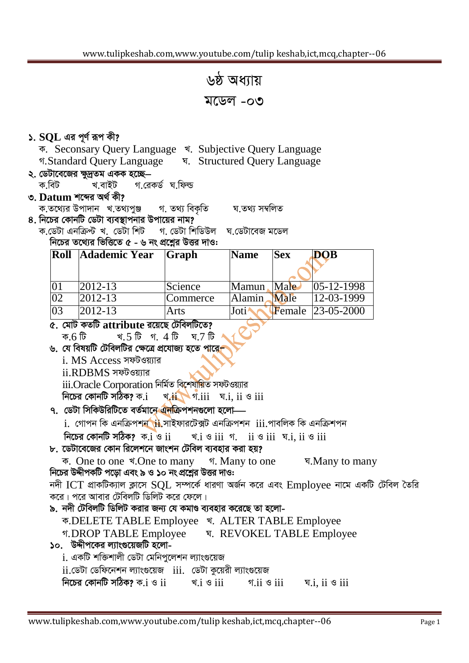৬ষ্ঠ অধ্যায় মডেল -০৩

## $\mathsf{S}$ .  $\mathsf{SOL}$  এর পূর্ণ রূপ কী?

ক. Seconsary Query Language খ. Subjective Query Language গ.Standard Query Language | प. Structured Query Language

#### ২. ডেটাবেজের ক্ষুদ্রতম একক হচ্ছে— গ রেকর্ড ঘ ফিল্ড ক বিট খ.বাইট

### ৩. Datum শব্দের অর্থ কী?

ক.তথ্যের উপাদান খ.তথ্যপুঞ্জ গ. তথ্য বিকতি ঘ তথ্য সম্বলিত

- ৪. নিচের কোনটি ডেটা ব্যবস্থাপনার উপায়ের নাম?
	- ক ডেটা এনক্ৰিপ্ট খ ডেটা শিট গ ডেটা শিডিউল ঘ ডেটাবেজ মডেল নিচের তথ্যের ভিত্তিতে  $\alpha$  - ৬ নং প্রশ্নের উত্তর দাও:

|                 | Roll Adademic Year | Graph    | <b>Name</b> | <b>Sex</b> | DOB                       |
|-----------------|--------------------|----------|-------------|------------|---------------------------|
|                 |                    |          |             |            |                           |
|                 | $ 2012-13 $        | Science  | Mamun       | Male       | $ 05-12-1998 $            |
| $ 02\rangle$    | $ 2012-13 $        | Commerce | Alamin      | Male       | $12 - 03 - 1999$          |
| $\overline{03}$ | $ 2012-13 $        | Arts     | Joti        |            | <b>F</b> emale 23-05-2000 |

৫. মোট কতটি attribute রয়েছে টেবিলটিতে?

খ. 5 টি গ. 4 টি ক.6 টি <u>ঘ 7 টি</u>

- ৬. যে বিষয়টি টেবিলটির ক্ষেত্রে প্রযোজ্য হতে পারে
	- i. MS Access সফটওয়্যার
	- ii.RDBMS সফটওয়াার

iii.Oracle Corporation নিৰ্মিত বিশেষীয়িত সফটওয়্যার

নিচের কোনটি সঠিক? ক.i  $\sqrt{4i}$   $\sqrt{7.1}$   $\overline{11}$   $\sqrt{7.1}$ ,  $\overline{11}$   $\sqrt{8.1}$ 

- ৭. ডেটা সিকিউরিটিতে বর্তমানে এনক্রিপশনগুলো হলো
	- i. গোপন কি এনক্রিপশ<mark>ন ii</mark> সাইফারটেক্সট এনক্রিপশন iii পাবলিক কি এনক্রিশপন

নিচের কোনটি সঠিক?  $\bar{x}$ ়া ও $\,$ ii रां उiii १ ii उiii घा. ii उiii

# ৮. ডেটাবেজের কোন রিলেশনে জাংশন টেবিল ব্যবহার করা হয়?

ক. One to one খ.One to many গ. Many to one ঘ.Many to many নিচের উদ্দীপকটি পড়ো এবং ৯ ও ১০ নং প্রশ্নের উত্তর দাও:

নদী ICT প্রাকটিক্যাল ক্লাসে SQL সম্পর্কে ধারণা অর্জন করে এবং Employee নামে একটি টেবিল তৈরি করে। পরে আবার টেবিলটি ডিলিট করে ফেলে।

## ৯. নদী টেবিলটি ডিলিট করার জন্য যে কমাণ্ড ব্যবহার করেছে তা হলো-

क.DELETE TABLE Employee খ. ALTER TABLE Employee

গ.DROP TABLE Employee ष. REVOKEL TABLE Employee

১০. উদ্দীপকের ল্যাংগুয়েজটি হলো-

i. একটি শক্তিশালী ডেটা মেনিপুলেশন ল্যাংগুয়েজ

 $ii$ .ডেটা ডেফিনেশন ল্যাংগুয়েজ  $ii$ ii. ডেটা কুয়েরী ল্যাংগুয়েজ

নিচের কোনটি সঠিক? ক. ${\rm i}$  ও  ${\rm ii}$ খ.i ও iii গ $ii$  ও  $iii$ य.i. ii  $\circ$  iii